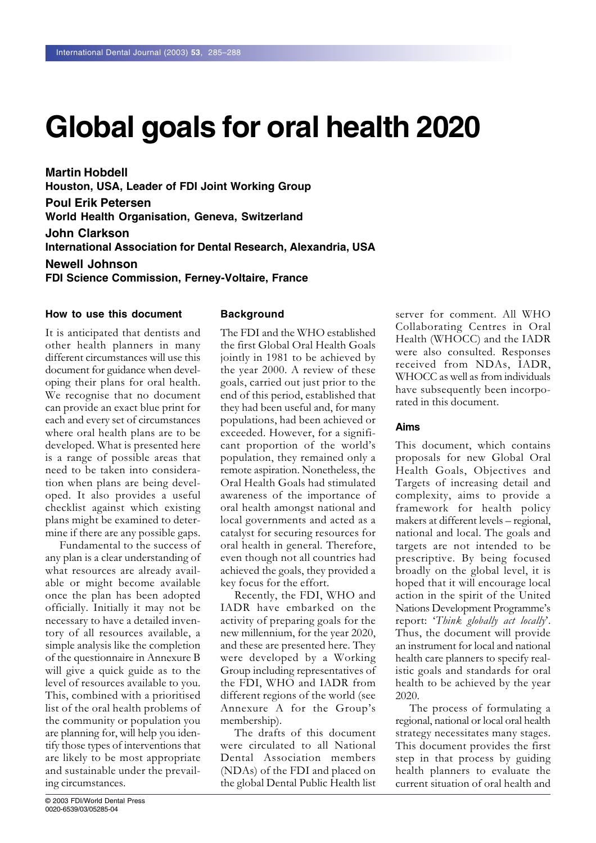# **Global goals for oral health 2020**

**Martin Hobdell Houston, USA, Leader of FDI Joint Working Group Poul Erik Petersen World Health Organisation, Geneva, Switzerland John Clarkson International Association for Dental Research, Alexandria, USA Newell Johnson FDI Science Commission, Ferney-Voltaire, France**

#### **How to use this document**

It is anticipated that dentists and other health planners in many different circumstances will use this document for guidance when developing their plans for oral health. We recognise that no document can provide an exact blue print for each and every set of circumstances where oral health plans are to be developed. What is presented here is a range of possible areas that need to be taken into consideration when plans are being developed. It also provides a useful checklist against which existing plans might be examined to determine if there are any possible gaps.

Fundamental to the success of any plan is a clear understanding of what resources are already available or might become available once the plan has been adopted officially. Initially it may not be necessary to have a detailed inventory of all resources available, a simple analysis like the completion of the questionnaire in Annexure B will give a quick guide as to the level of resources available to you. This, combined with a prioritised list of the oral health problems of the community or population you are planning for, will help you identify those types of interventions that are likely to be most appropriate and sustainable under the prevailing circumstances.

#### **Background**

The FDI and the WHO established the first Global Oral Health Goals jointly in 1981 to be achieved by the year 2000. A review of these goals, carried out just prior to the end of this period, established that they had been useful and, for many populations, had been achieved or exceeded. However, for a significant proportion of the world's population, they remained only a remote aspiration. Nonetheless, the Oral Health Goals had stimulated awareness of the importance of oral health amongst national and local governments and acted as a catalyst for securing resources for oral health in general. Therefore, even though not all countries had achieved the goals, they provided a key focus for the effort.

Recently, the FDI, WHO and IADR have embarked on the activity of preparing goals for the new millennium, for the year 2020, and these are presented here. They were developed by a Working Group including representatives of the FDI, WHO and IADR from different regions of the world (see Annexure A for the Group's membership).

The drafts of this document were circulated to all National Dental Association members (NDAs) of the FDI and placed on the global Dental Public Health list server for comment. All WHO Collaborating Centres in Oral Health (WHOCC) and the IADR were also consulted. Responses received from NDAs, IADR, WHOCC as well as from individuals have subsequently been incorporated in this document.

#### **Aims**

This document, which contains proposals for new Global Oral Health Goals, Objectives and Targets of increasing detail and complexity, aims to provide a framework for health policy makers at different levels – regional, national and local. The goals and targets are not intended to be prescriptive. By being focused broadly on the global level, it is hoped that it will encourage local action in the spirit of the United Nations Development Programme's report: 'Think globally act locally'. Thus, the document will provide an instrument for local and national health care planners to specify realistic goals and standards for oral health to be achieved by the year 2020.

The process of formulating a regional, national or local oral health strategy necessitates many stages. This document provides the first step in that process by guiding health planners to evaluate the current situation of oral health and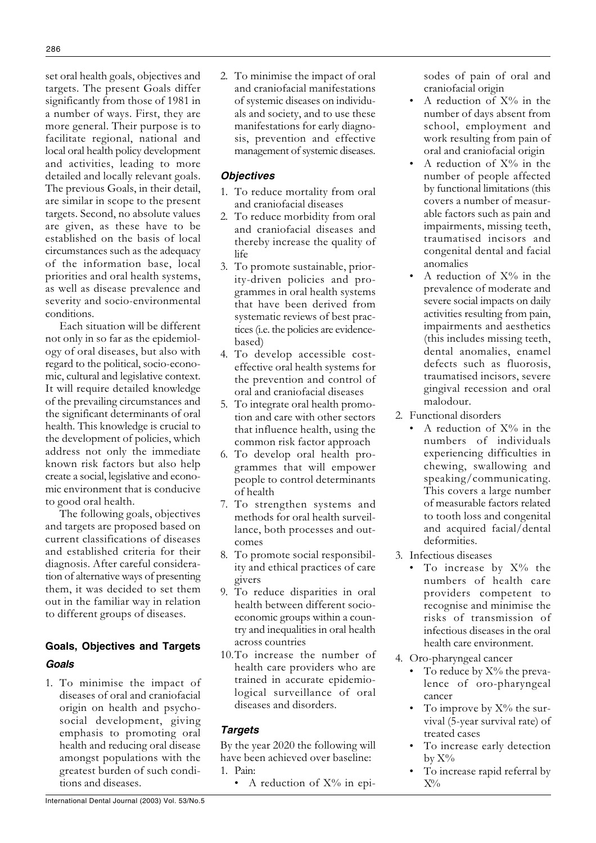set oral health goals, objectives and targets. The present Goals differ significantly from those of 1981 in a number of ways. First, they are more general. Their purpose is to facilitate regional, national and local oral health policy development and activities, leading to more detailed and locally relevant goals. The previous Goals, in their detail, are similar in scope to the present targets. Second, no absolute values are given, as these have to be established on the basis of local circumstances such as the adequacy of the information base, local priorities and oral health systems, as well as disease prevalence and severity and socio-environmental conditions.

Each situation will be different not only in so far as the epidemiology of oral diseases, but also with regard to the political, socio-economic, cultural and legislative context. It will require detailed knowledge of the prevailing circumstances and the significant determinants of oral health. This knowledge is crucial to the development of policies, which address not only the immediate known risk factors but also help create a social, legislative and economic environment that is conducive to good oral health.

The following goals, objectives and targets are proposed based on current classifications of diseases and established criteria for their diagnosis. After careful consideration of alternative ways of presenting them, it was decided to set them out in the familiar way in relation to different groups of diseases.

# **Goals, Objectives and Targets** Goals

1. To minimise the impact of diseases of oral and craniofacial origin on health and psychosocial development, giving emphasis to promoting oral health and reducing oral disease amongst populations with the greatest burden of such conditions and diseases.

2. To minimise the impact of oral and craniofacial manifestations of systemic diseases on individuals and society, and to use these manifestations for early diagnosis, prevention and effective management of systemic diseases.

## **Obiectives**

- 1. To reduce mortality from oral and craniofacial diseases
- 2. To reduce morbidity from oral and craniofacial diseases and thereby increase the quality of life
- 3. To promote sustainable, priority-driven policies and programmes in oral health systems that have been derived from systematic reviews of best practices (i.e. the policies are evidencebased)
- 4. To develop accessible costeffective oral health systems for the prevention and control of oral and craniofacial diseases
- 5. To integrate oral health promotion and care with other sectors that influence health, using the common risk factor approach
- 6. To develop oral health programmes that will empower people to control determinants of health
- 7. To strengthen systems and methods for oral health surveillance, both processes and outcomes
- 8. To promote social responsibility and ethical practices of care givers
- 9. To reduce disparities in oral health between different socioeconomic groups within a country and inequalities in oral health across countries
- 10. To increase the number of health care providers who are trained in accurate epidemiological surveillance of oral diseases and disorders.

# **Targets**

By the year 2020 the following will have been achieved over baseline: 1. Pain:

• A reduction of  $X\%$  in epi-

sodes of pain of oral and craniofacial origin

- A reduction of  $X\%$  in the number of days absent from school, employment and work resulting from pain of oral and craniofacial origin
- A reduction of  $X\%$  in the number of people affected by functional limitations (this covers a number of measurable factors such as pain and impairments, missing teeth, traumatised incisors and congenital dental and facial anomalies
- A reduction of  $X\%$  in the prevalence of moderate and severe social impacts on daily activities resulting from pain, impairments and aesthetics (this includes missing teeth, dental anomalies, enamel defects such as fluorosis. traumatised incisors, severe gingival recession and oral malodour.
- 2. Functional disorders
	- A reduction of  $X\%$  in the numbers of individuals experiencing difficulties in chewing, swallowing and speaking/communicating. This covers a large number of measurable factors related to tooth loss and congenital and acquired facial/dental deformities
- 3. Infectious diseases
	- To increase by  $X\%$  the numbers of health care providers competent to recognise and minimise the risks of transmission of infectious diseases in the oral health care environment.
- 4. Oro-pharyngeal cancer
	- To reduce by  $X\%$  the prevalence of oro-pharyngeal cancer
	- To improve by  $X\%$  the survival (5-year survival rate) of treated cases
	- To increase early detection  $by X\%$
	- To increase rapid referral by  $X\%$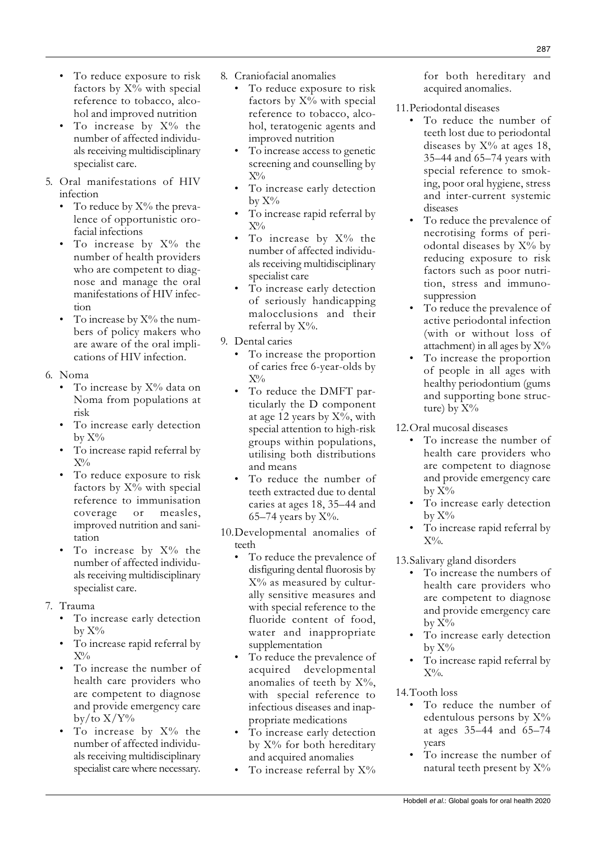- To reduce exposure to risk factors by X% with special reference to tobacco, alcohol, teratogenic agents and improved nutrition
	- To increase access to genetic screening and counselling by  $X\%$
	- To increase early detection by  $X\%$
	- To increase rapid referral by  $X\%$
	- To increase by  $X\%$  the number of affected individuals receiving multidisciplinary specialist care
	- To increase early detection of seriously handicapping malocclusions and their referral by X%.
	- 9. Dental caries
		- To increase the proportion of caries free 6-year-olds by  $X\%$
		- To reduce the DMFT particularly the D component at age 12 years by  $X\%$ , with special attention to high-risk groups within populations, utilising both distributions and means
		- To reduce the number of teeth extracted due to dental caries at ages 18, 35–44 and 65–74 years by  $X\%$ .
	- 10. Developmental anomalies of teeth
		- To reduce the prevalence of disfiguring dental fluorosis by  $X\%$  as measured by culturally sensitive measures and with special reference to the fluoride content of food, water and inappropriate supplementation
		- To reduce the prevalence of acquired developmental anomalies of teeth by  $X\%$ , with special reference to infectious diseases and inappropriate medications
		- $\bullet$ To increase early detection by X% for both hereditary and acquired anomalies
		- To increase referral by X%

for both hereditary and acquired anomalies.

- 11. Periodontal diseases
	- To reduce the number of teeth lost due to periodontal diseases by  $X\%$  at ages 18, 35-44 and 65-74 years with special reference to smoking, poor oral hygiene, stress and inter-current systemic diseases
	- To reduce the prevalence of necrotising forms of periodontal diseases by X% by reducing exposure to risk factors such as poor nutrition, stress and immunosuppression
	- $\bullet$ To reduce the prevalence of active periodontal infection (with or without loss of attachment) in all ages by  $X\%$
	- To increase the proportion of people in all ages with healthy periodontium (gums and supporting bone structure) by  $X\%$

12. Oral mucosal diseases

- To increase the number of health care providers who are competent to diagnose and provide emergency care  $bv X\%$
- To increase early detection  $\mathrm{bv}~\mathrm{X}\%$
- To increase rapid referral by  $X\%$ .

13. Salivary gland disorders

- To increase the numbers of health care providers who are competent to diagnose and provide emergency care  $bv X\%$
- To increase early detection  $\mathrm{bv} \, \mathrm{X} \%$
- To increase rapid referral by  $X\%$ .

# 14. Tooth loss

- To reduce the number of edentulous persons by X% at ages 35-44 and 65-74 years
- To increase the number of natural teeth present by X%

Hobdell et al.: Global goals for oral health 2020

- To reduce exposure to risk factors by X% with special reference to tobacco, alcohol and improved nutrition
- $\bullet$ To increase by X% the number of affected individuals receiving multidisciplinary specialist care.
- 5. Oral manifestations of HIV infection
	- To reduce by  $X\%$  the prevalence of opportunistic orofacial infections
	- To increase by  $X\%$  the number of health providers who are competent to diagnose and manage the oral manifestations of HIV infection
	- To increase by  $X\%$  the numbers of policy makers who are aware of the oral implications of HIV infection.
- 6. Noma
	- To increase by X% data on Noma from populations at risk
	- To increase early detection  $by X\%$
	- To increase rapid referral by  $X\%$
	- To reduce exposure to risk factors by X% with special reference to immunisation coverage or measles, improved nutrition and sanitation
	- To increase by  $X\%$  the number of affected individuals receiving multidisciplinary specialist care.
- 7. Trauma
	- To increase early detection  $bv X\%$
	- To increase rapid referral by  $X\%$
	- To increase the number of health care providers who are competent to diagnose and provide emergency care  $\rm bv/to X/Y\%$
	- To increase by X% the number of affected individuals receiving multidisciplinary specialist care where necessary.